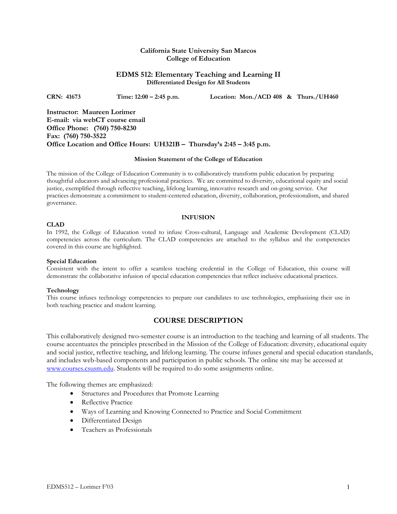## **California State University San Marcos College of Education**

## **EDMS 512: Elementary Teaching and Learning II Differentiated Design for All Students**

**CRN: 41673 Time: 12:00 – 2:45 p.m. Location: Mon./ACD 408 & Thurs./UH460** 

**Instructor: Maureen Lorimer E-mail: via webCT course email Office Phone: (760) 750-8230 Fax: (760) 750-3522 Office Location and Office Hours: UH321B – Thursday's 2:45 – 3:45 p.m.** 

### **Mission Statement of the College of Education**

The mission of the College of Education Community is to collaboratively transform public education by preparing thoughtful educators and advancing professional practices. We are committed to diversity, educational equity and social justice, exemplified through reflective teaching, lifelong learning, innovative research and on-going service. Our practices demonstrate a commitment to student-centered education, diversity, collaboration, professionalism, and shared governance.

### **INFUSION**

### **CLAD**

In 1992, the College of Education voted to infuse Cross-cultural, Language and Academic Development (CLAD) competencies across the curriculum. The CLAD competencies are attached to the syllabus and the competencies covered in this course are highlighted.

### **Special Education**

Consistent with the intent to offer a seamless teaching credential in the College of Education, this course will demonstrate the collaborative infusion of special education competencies that reflect inclusive educational practices.

### **Technology**

This course infuses technology competencies to prepare our candidates to use technologies, emphasizing their use in both teaching practice and student learning.

# **COURSE DESCRIPTION**

This collaboratively designed two-semester course is an introduction to the teaching and learning of all students. The course accentuates the principles prescribed in the Mission of the College of Education: diversity, educational equity and social justice, reflective teaching, and lifelong learning. The course infuses general and special education standards, and includes web-based components and participation in public schools. The online site may be accessed at www.courses.csusm.edu. Students will be required to do some assignments online.

The following themes are emphasized:

- Structures and Procedures that Promote Learning
- Reflective Practice
- Ways of Learning and Knowing Connected to Practice and Social Commitment
- Differentiated Design
- Teachers as Professionals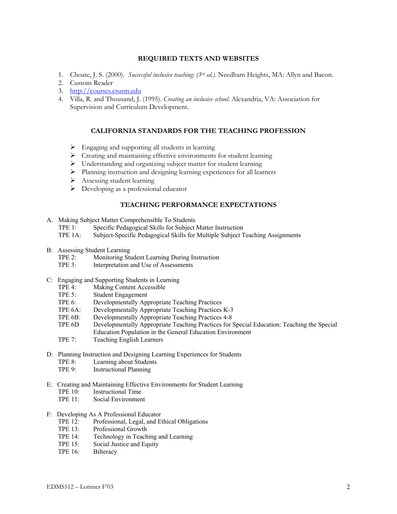## **REQUIRED TEXTS AND WEBSITES**

- 1. Choate, J. S. (2000). *Successful inclusive teaching: (3rd ed.).* Needham Heights, MA: Allyn and Bacon.
- 2. Custom Reader
- 3. http://courses.csusm.edu
- 4. Villa, R. and Thousand, J. (1995). *Creating an inclusive school*. Alexandria, VA: Association for Supervision and Curriculum Development.

### **CALIFORNIA STANDARDS FOR THE TEACHING PROFESSION**

- $\triangleright$  Engaging and supporting all students in learning
- $\triangleright$  Creating and maintaining effective environments for student learning
- ¾ Understanding and organizing subject matter for student learning
- ¾ Planning instruction and designing learning experiences for all learners
- $\triangleright$  Assessing student learning
- $\triangleright$  Developing as a professional educator

# **TEACHING PERFORMANCE EXPECTATIONS**

- A. Making Subject Matter Comprehensible To Students
	- TPE 1: Specific Pedagogical Skills for Subject Matter Instruction
	- TPE 1A: Subject-Specific Pedagogical Skills for Multiple Subject Teaching Assignments
- B: Assessing Student Learning
	- TPE 2: Monitoring Student Learning During Instruction<br>TPE 3: Interpretation and Use of Assessments
	- Interpretation and Use of Assessments
- C: Engaging and Supporting Students in Learning<br>TPE 4: Making Content Accessible
	- Making Content Accessible
	- TPE 5: Student Engagement
	- TPE 6: Developmentally Appropriate Teaching Practices
	- TPE 6A: Developmentally Appropriate Teaching Practices K-3
	- TPE 6B: Developmentally Appropriate Teaching Practices 4-8
	- TPE 6D Developmentally Appropriate Teaching Practices for Special Education: Teaching the Special Education Population in the General Education Environment
	- TPE 7: Teaching English Learners
- D: Planning Instruction and Designing Learning Experiences for Students TPE 8: Learning about Students
	- TPE 9: Instructional Planning
- E: Creating and Maintaining Effective Environments for Student Learning
	- TPE 10: Instructional Time
	- TPE 11: Social Environment
- F: Developing As A Professional Educator
	- TPE 12: Professional, Legal, and Ethical Obligations
	- TPE 13: Professional Growth
	- TPE 14: Technology in Teaching and Learning
	- TPE 15: Social Justice and Equity
	- TPE 16: Bilteracy